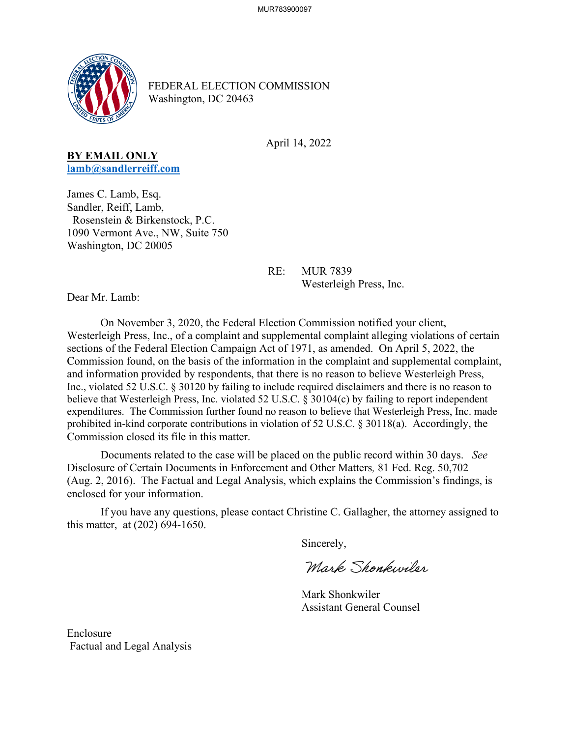

FEDERAL ELECTION COMMISSION Washington, DC 20463

April 14, 2022

## **BY EMAIL ONLY [lamb@sandlerreiff.com](mailto:lamb@sandlerreiff.com)**

James C. Lamb, Esq. Sandler, Reiff, Lamb, Rosenstein & Birkenstock, P.C. 1090 Vermont Ave., NW, Suite 750 Washington, DC 20005

> RE: MUR 7839 Westerleigh Press, Inc.

Dear Mr. Lamb:

On November 3, 2020, the Federal Election Commission notified your client, Westerleigh Press, Inc., of a complaint and supplemental complaint alleging violations of certain sections of the Federal Election Campaign Act of 1971, as amended. On April 5, 2022, the Commission found, on the basis of the information in the complaint and supplemental complaint, and information provided by respondents, that there is no reason to believe Westerleigh Press, Inc., violated 52 U.S.C. § 30120 by failing to include required disclaimers and there is no reason to believe that Westerleigh Press, Inc. violated 52 U.S.C. § 30104(c) by failing to report independent expenditures. The Commission further found no reason to believe that Westerleigh Press, Inc. made prohibited in-kind corporate contributions in violation of 52 U.S.C. § 30118(a). Accordingly, the Commission closed its file in this matter.

 Documents related to the case will be placed on the public record within 30 days. *See*  Disclosure of Certain Documents in Enforcement and Other Matters*,* 81 Fed. Reg. 50,702 (Aug. 2, 2016). The Factual and Legal Analysis, which explains the Commission's findings, is enclosed for your information.

 If you have any questions, please contact Christine C. Gallagher, the attorney assigned to this matter, at (202) 694-1650.

Sincerely,

Mark Shonkwiler

 Mark Shonkwiler Assistant General Counsel

Enclosure Factual and Legal Analysis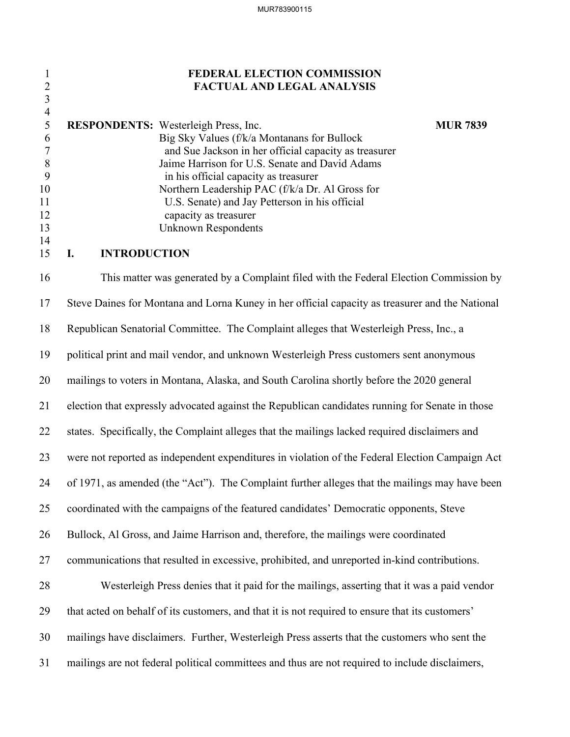## 1 **FEDERAL ELECTION COMMISSION** 2 **FACTUAL AND LEGAL ANALYSIS**

|    | <b>RESPONDENTS:</b> Westerleigh Press, Inc.           | <b>MUR 7839</b> |
|----|-------------------------------------------------------|-----------------|
| 6  | Big Sky Values (f/k/a Montanans for Bullock           |                 |
|    | and Sue Jackson in her official capacity as treasurer |                 |
|    | Jaime Harrison for U.S. Senate and David Adams        |                 |
|    | in his official capacity as treasurer                 |                 |
| 10 | Northern Leadership PAC (f/k/a Dr. Al Gross for       |                 |
| 11 | U.S. Senate) and Jay Petterson in his official        |                 |
| 12 | capacity as treasurer                                 |                 |
| 13 | Unknown Respondents                                   |                 |
| 14 |                                                       |                 |

### 15 **I. INTRODUCTION**

3 4

16 This matter was generated by a Complaint filed with the Federal Election Commission by 17 Steve Daines for Montana and Lorna Kuney in her official capacity as treasurer and the National 18 Republican Senatorial Committee. The Complaint alleges that Westerleigh Press, Inc., a 19 political print and mail vendor, and unknown Westerleigh Press customers sent anonymous 20 mailings to voters in Montana, Alaska, and South Carolina shortly before the 2020 general 21 election that expressly advocated against the Republican candidates running for Senate in those 22 states. Specifically, the Complaint alleges that the mailings lacked required disclaimers and 23 were not reported as independent expenditures in violation of the Federal Election Campaign Act 24 of 1971, as amended (the "Act"). The Complaint further alleges that the mailings may have been 25 coordinated with the campaigns of the featured candidates' Democratic opponents, Steve 26 Bullock, Al Gross, and Jaime Harrison and, therefore, the mailings were coordinated 27 communications that resulted in excessive, prohibited, and unreported in-kind contributions. 28 Westerleigh Press denies that it paid for the mailings, asserting that it was a paid vendor 29 that acted on behalf of its customers, and that it is not required to ensure that its customers' 30 mailings have disclaimers. Further, Westerleigh Press asserts that the customers who sent the 31 mailings are not federal political committees and thus are not required to include disclaimers,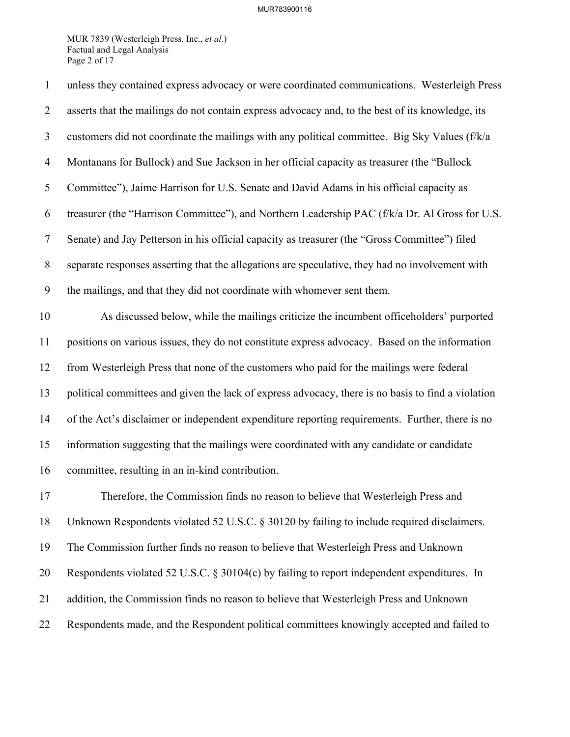### MUR783900116

MUR 7839 (Westerleigh Press, Inc., *et al*.) Factual and Legal Analysis Page 2 of 17

| $\mathbf{1}$   | unless they contained express advocacy or were coordinated communications. Westerleigh Press       |
|----------------|----------------------------------------------------------------------------------------------------|
| $\overline{2}$ | asserts that the mailings do not contain express advocacy and, to the best of its knowledge, its   |
| 3              | customers did not coordinate the mailings with any political committee. Big Sky Values (f/k/a      |
| $\overline{4}$ | Montanans for Bullock) and Sue Jackson in her official capacity as treasurer (the "Bullock         |
| 5              | Committee"), Jaime Harrison for U.S. Senate and David Adams in his official capacity as            |
| 6              | treasurer (the "Harrison Committee"), and Northern Leadership PAC (f/k/a Dr. Al Gross for U.S.     |
| $\tau$         | Senate) and Jay Petterson in his official capacity as treasurer (the "Gross Committee") filed      |
| $8\,$          | separate responses asserting that the allegations are speculative, they had no involvement with    |
| 9              | the mailings, and that they did not coordinate with whomever sent them.                            |
| 10             | As discussed below, while the mailings criticize the incumbent officeholders' purported            |
| 11             | positions on various issues, they do not constitute express advocacy. Based on the information     |
| 12             | from Westerleigh Press that none of the customers who paid for the mailings were federal           |
| 13             | political committees and given the lack of express advocacy, there is no basis to find a violation |
| 14             | of the Act's disclaimer or independent expenditure reporting requirements. Further, there is no    |
| 15             | information suggesting that the mailings were coordinated with any candidate or candidate          |
| 16             | committee, resulting in an in-kind contribution.                                                   |
| 17             | Therefore, the Commission finds no reason to believe that Westerleigh Press and                    |
| 18             | Unknown Respondents violated 52 U.S.C. § 30120 by failing to include required disclaimers.         |
| 19             | The Commission further finds no reason to believe that Westerleigh Press and Unknown               |
| 20             | Respondents violated 52 U.S.C. § 30104(c) by failing to report independent expenditures. In        |
| 21             | addition, the Commission finds no reason to believe that Westerleigh Press and Unknown             |
| 22             | Respondents made, and the Respondent political committees knowingly accepted and failed to         |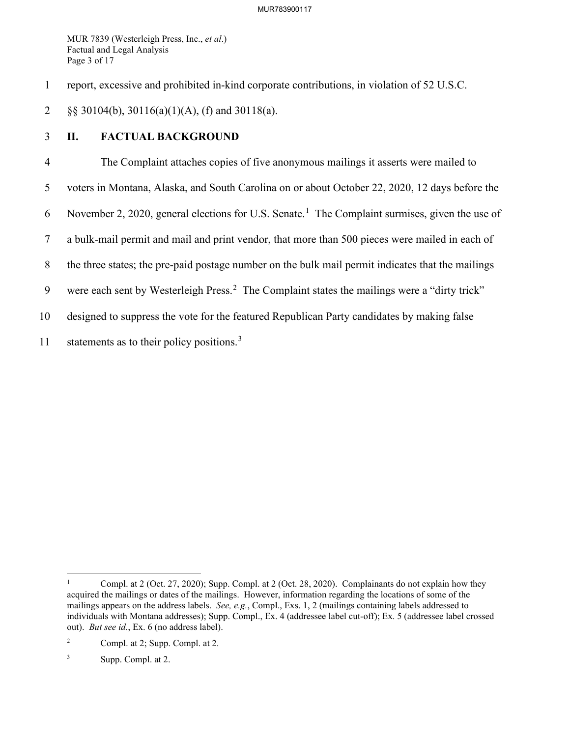MUR 7839 (Westerleigh Press, Inc., *et al*.) Factual and Legal Analysis Page 3 of 17

1 report, excessive and prohibited in-kind corporate contributions, in violation of 52 U.S.C.

2 §§ 30104(b), 30116(a)(1)(A), (f) and 30118(a).

# 3 **II. FACTUAL BACKGROUND**

4 The Complaint attaches copies of five anonymous mailings it asserts were mailed to 5 voters in Montana, Alaska, and South Carolina on or about October 22, 2020, 12 days before the 6 November 2, 2020, general elections for U.S. Senate.<sup>[1](#page-3-0)</sup> The Complaint surmises, given the use of 7 a bulk-mail permit and mail and print vendor, that more than 500 pieces were mailed in each of 8 the three states; the pre-paid postage number on the bulk mail permit indicates that the mailings 9 were each sent by Westerleigh Press.<sup>[2](#page-3-1)</sup> The Complaint states the mailings were a "dirty trick" 10 designed to suppress the vote for the featured Republican Party candidates by making false 11 statements as to their policy positions.<sup>[3](#page-3-2)</sup>

<span id="page-3-0"></span><sup>1</sup> Compl. at 2 (Oct. 27, 2020); Supp. Compl. at 2 (Oct. 28, 2020). Complainants do not explain how they acquired the mailings or dates of the mailings. However, information regarding the locations of some of the mailings appears on the address labels. *See, e.g.*, Compl., Exs. 1, 2 (mailings containing labels addressed to individuals with Montana addresses); Supp. Compl., Ex. 4 (addressee label cut-off); Ex. 5 (addressee label crossed out). *But see id.*, Ex. 6 (no address label).

<span id="page-3-1"></span><sup>2</sup> Compl. at 2; Supp. Compl. at 2.

<span id="page-3-2"></span><sup>3</sup> Supp. Compl. at 2.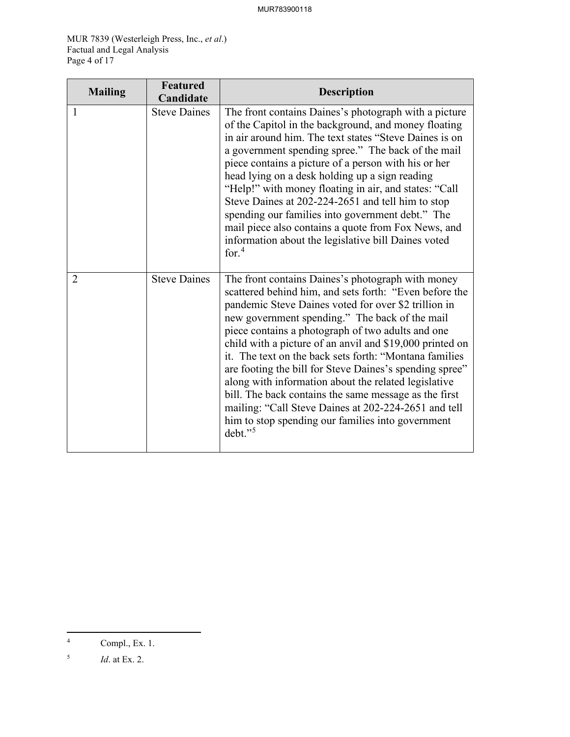MUR 7839 (Westerleigh Press, Inc., *et al*.) Factual and Legal Analysis Page 4 of 17

| <b>Mailing</b> | <b>Featured</b><br>Candidate | <b>Description</b>                                                                                                                                                                                                                                                                                                                                                                                                                                                                                                                                                                                                                                                                                    |
|----------------|------------------------------|-------------------------------------------------------------------------------------------------------------------------------------------------------------------------------------------------------------------------------------------------------------------------------------------------------------------------------------------------------------------------------------------------------------------------------------------------------------------------------------------------------------------------------------------------------------------------------------------------------------------------------------------------------------------------------------------------------|
| 1              | <b>Steve Daines</b>          | The front contains Daines's photograph with a picture<br>of the Capitol in the background, and money floating<br>in air around him. The text states "Steve Daines is on<br>a government spending spree." The back of the mail<br>piece contains a picture of a person with his or her<br>head lying on a desk holding up a sign reading<br>"Help!" with money floating in air, and states: "Call<br>Steve Daines at 202-224-2651 and tell him to stop<br>spending our families into government debt." The<br>mail piece also contains a quote from Fox News, and<br>information about the legislative bill Daines voted<br>for. $4$                                                                   |
| $\overline{2}$ | <b>Steve Daines</b>          | The front contains Daines's photograph with money<br>scattered behind him, and sets forth: "Even before the<br>pandemic Steve Daines voted for over \$2 trillion in<br>new government spending." The back of the mail<br>piece contains a photograph of two adults and one<br>child with a picture of an anvil and \$19,000 printed on<br>it. The text on the back sets forth: "Montana families"<br>are footing the bill for Steve Daines's spending spree"<br>along with information about the related legislative<br>bill. The back contains the same message as the first<br>mailing: "Call Steve Daines at 202-224-2651 and tell<br>him to stop spending our families into government<br>debt."5 |

<span id="page-4-0"></span><sup>4</sup> Compl., Ex. 1.

<span id="page-4-1"></span><sup>5</sup> *Id*. at Ex. 2.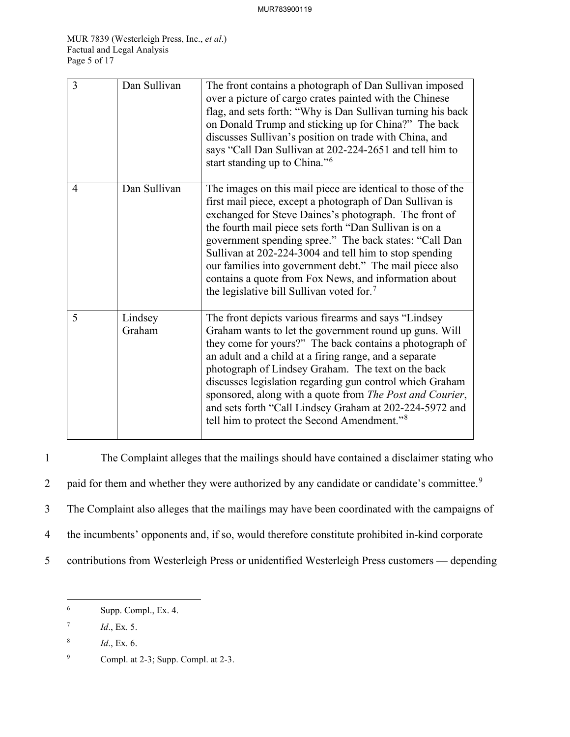| $\overline{3}$ | Dan Sullivan      | The front contains a photograph of Dan Sullivan imposed<br>over a picture of cargo crates painted with the Chinese<br>flag, and sets forth: "Why is Dan Sullivan turning his back<br>on Donald Trump and sticking up for China?" The back<br>discusses Sullivan's position on trade with China, and<br>says "Call Dan Sullivan at 202-224-2651 and tell him to<br>start standing up to China." <sup>6</sup>                                                                                                                                 |
|----------------|-------------------|---------------------------------------------------------------------------------------------------------------------------------------------------------------------------------------------------------------------------------------------------------------------------------------------------------------------------------------------------------------------------------------------------------------------------------------------------------------------------------------------------------------------------------------------|
| $\overline{4}$ | Dan Sullivan      | The images on this mail piece are identical to those of the<br>first mail piece, except a photograph of Dan Sullivan is<br>exchanged for Steve Daines's photograph. The front of<br>the fourth mail piece sets forth "Dan Sullivan is on a<br>government spending spree." The back states: "Call Dan<br>Sullivan at 202-224-3004 and tell him to stop spending<br>our families into government debt." The mail piece also<br>contains a quote from Fox News, and information about<br>the legislative bill Sullivan voted for. <sup>7</sup> |
| 5              | Lindsey<br>Graham | The front depicts various firearms and says "Lindsey<br>Graham wants to let the government round up guns. Will<br>they come for yours?" The back contains a photograph of<br>an adult and a child at a firing range, and a separate<br>photograph of Lindsey Graham. The text on the back<br>discusses legislation regarding gun control which Graham<br>sponsored, along with a quote from The Post and Courier,<br>and sets forth "Call Lindsey Graham at 202-224-5972 and<br>tell him to protect the Second Amendment." <sup>8</sup>     |

1 The Complaint alleges that the mailings should have contained a disclaimer stating who 2 paid for them and whether they were authorized by any candidate or candidate's committee.<sup>[9](#page-5-3)</sup> 3 The Complaint also alleges that the mailings may have been coordinated with the campaigns of 4 the incumbents' opponents and, if so, would therefore constitute prohibited in-kind corporate 5 contributions from Westerleigh Press or unidentified Westerleigh Press customers — depending

<span id="page-5-0"></span><sup>6</sup> Supp. Compl., Ex. 4.

<span id="page-5-1"></span><sup>7</sup> *Id*., Ex. 5.

<span id="page-5-2"></span><sup>8</sup> *Id*., Ex. 6.

<span id="page-5-3"></span><sup>9</sup> Compl. at 2-3; Supp. Compl. at 2-3.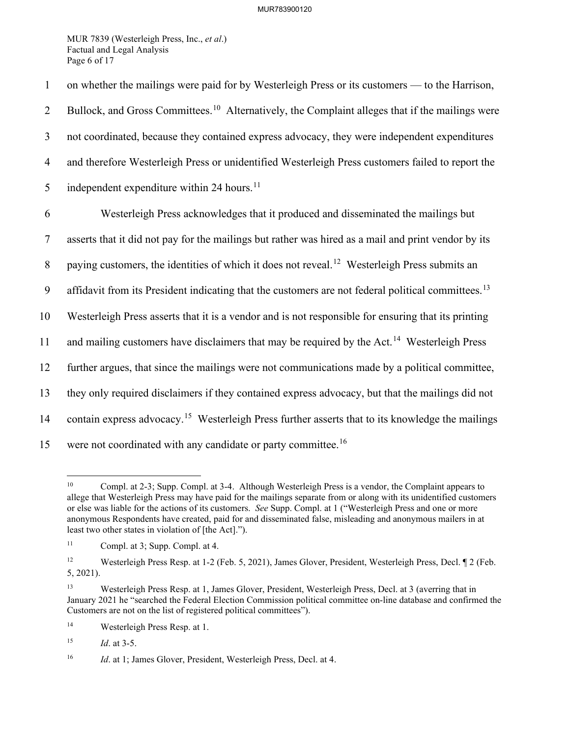MUR 7839 (Westerleigh Press, Inc., *et al*.) Factual and Legal Analysis Page 6 of 17

1 on whether the mailings were paid for by Westerleigh Press or its customers — to the Harrison, 2 Bullock, and Gross Committees.<sup>[10](#page-6-0)</sup> Alternatively, the Complaint alleges that if the mailings were 3 not coordinated, because they contained express advocacy, they were independent expenditures 4 and therefore Westerleigh Press or unidentified Westerleigh Press customers failed to report the 5 independent expenditure within 24 hours.<sup>[11](#page-6-1)</sup> 6 Westerleigh Press acknowledges that it produced and disseminated the mailings but 7 asserts that it did not pay for the mailings but rather was hired as a mail and print vendor by its 8 paying customers, the identities of which it does not reveal.<sup>[12](#page-6-2)</sup> Westerleigh Press submits an 9 affidavit from its President indicating that the customers are not federal political committees.<sup>[13](#page-6-3)</sup> 10 Westerleigh Press asserts that it is a vendor and is not responsible for ensuring that its printing 11 and mailing customers have disclaimers that may be required by the Act.<sup>[14](#page-6-4)</sup> Westerleigh Press 12 further argues, that since the mailings were not communications made by a political committee, 13 they only required disclaimers if they contained express advocacy, but that the mailings did not 14 contain express advocacy.<sup>[15](#page-6-5)</sup> Westerleigh Press further asserts that to its knowledge the mailings 15 were not coordinated with any candidate or party committee.<sup>[16](#page-6-6)</sup>

<span id="page-6-7"></span><span id="page-6-0"></span><sup>&</sup>lt;sup>10</sup> Compl. at 2-3; Supp. Compl. at 3-4. Although Westerleigh Press is a vendor, the Complaint appears to allege that Westerleigh Press may have paid for the mailings separate from or along with its unidentified customers or else was liable for the actions of its customers. *See* Supp. Compl. at 1 ("Westerleigh Press and one or more anonymous Respondents have created, paid for and disseminated false, misleading and anonymous mailers in at least two other states in violation of [the Act].").

<span id="page-6-1"></span><sup>11</sup> Compl. at 3; Supp. Compl. at 4.

<span id="page-6-2"></span><sup>&</sup>lt;sup>12</sup> Westerleigh Press Resp. at 1-2 (Feb. 5, 2021), James Glover, President, Westerleigh Press, Decl. ¶ 2 (Feb. 5, 2021).

<span id="page-6-3"></span><sup>13</sup> Westerleigh Press Resp. at 1, James Glover, President, Westerleigh Press, Decl. at 3 (averring that in January 2021 he "searched the Federal Election Commission political committee on-line database and confirmed the Customers are not on the list of registered political committees").

<span id="page-6-4"></span><sup>14</sup> Westerleigh Press Resp. at 1.

<span id="page-6-5"></span><sup>15</sup> *Id*. at 3-5.

<span id="page-6-6"></span><sup>&</sup>lt;sup>16</sup> *Id.* at 1; James Glover, President, Westerleigh Press, Decl. at 4.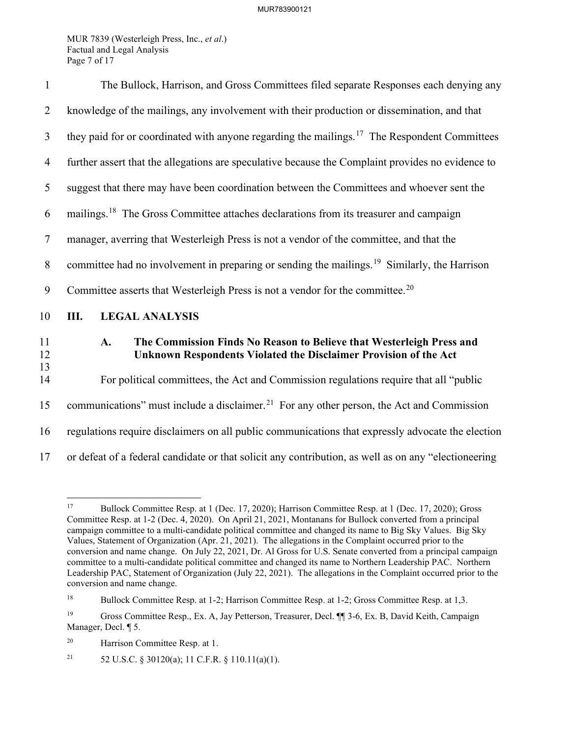MUR 7839 (Westerleigh Press, Inc., *et al*.) Factual and Legal Analysis Page 7 of 17

| $\mathbf{1}$   | The Bullock, Harrison, and Gross Committees filed separate Responses each denying any                                                          |  |
|----------------|------------------------------------------------------------------------------------------------------------------------------------------------|--|
| $\overline{2}$ | knowledge of the mailings, any involvement with their production or dissemination, and that                                                    |  |
| $\mathfrak{Z}$ | they paid for or coordinated with anyone regarding the mailings. <sup>17</sup> The Respondent Committees                                       |  |
| $\overline{4}$ | further assert that the allegations are speculative because the Complaint provides no evidence to                                              |  |
| 5              | suggest that there may have been coordination between the Committees and whoever sent the                                                      |  |
| 6              | mailings. <sup>18</sup> The Gross Committee attaches declarations from its treasurer and campaign                                              |  |
| $\overline{7}$ | manager, averring that Westerleigh Press is not a vendor of the committee, and that the                                                        |  |
| 8              | committee had no involvement in preparing or sending the mailings. <sup>19</sup> Similarly, the Harrison                                       |  |
| 9              | Committee asserts that Westerleigh Press is not a vendor for the committee. <sup>20</sup>                                                      |  |
| 10             | <b>LEGAL ANALYSIS</b><br>Ш.                                                                                                                    |  |
| 11<br>12<br>13 | The Commission Finds No Reason to Believe that Westerleigh Press and<br>A.<br>Unknown Respondents Violated the Disclaimer Provision of the Act |  |
| 14             | For political committees, the Act and Commission regulations require that all "public                                                          |  |
| 15             | communications" must include a disclaimer. <sup>21</sup> For any other person, the Act and Commission                                          |  |
| 16             | regulations require disclaimers on all public communications that expressly advocate the election                                              |  |
| 17             | or defeat of a federal candidate or that solicit any contribution, as well as on any "electioneering                                           |  |

<span id="page-7-5"></span><span id="page-7-0"></span><sup>17</sup> Bullock Committee Resp. at 1 (Dec. 17, 2020); Harrison Committee Resp. at 1 (Dec. 17, 2020); Gross Committee Resp. at 1-2 (Dec. 4, 2020). On April 21, 2021, Montanans for Bullock converted from a principal campaign committee to a multi-candidate political committee and changed its name to Big Sky Values. Big Sky Values, Statement of Organization (Apr. 21, 2021). The allegations in the Complaint occurred prior to the conversion and name change. On July 22, 2021, Dr. Al Gross for U.S. Senate converted from a principal campaign committee to a multi-candidate political committee and changed its name to Northern Leadership PAC. Northern Leadership PAC, Statement of Organization (July 22, 2021). The allegations in the Complaint occurred prior to the conversion and name change.

<span id="page-7-1"></span><sup>&</sup>lt;sup>18</sup> Bullock Committee Resp. at 1-2; Harrison Committee Resp. at 1-2; Gross Committee Resp. at 1,3.

<span id="page-7-2"></span><sup>19</sup> Gross Committee Resp., Ex. A, Jay Petterson, Treasurer, Decl. ¶¶ 3-6, Ex. B, David Keith, Campaign Manager, Decl. ¶ 5.

<span id="page-7-3"></span><sup>20</sup> Harrison Committee Resp. at 1.

<span id="page-7-4"></span><sup>&</sup>lt;sup>21</sup> 52 U.S.C. § 30120(a); 11 C.F.R. § 110.11(a)(1).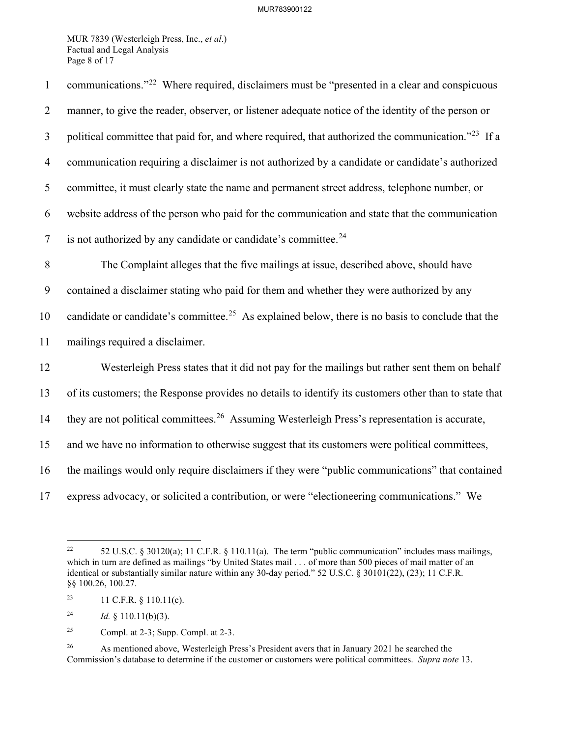MUR 7839 (Westerleigh Press, Inc., *et al*.) Factual and Legal Analysis Page 8 of 17

| $\mathbf{1}$   | communications." <sup>22</sup> Where required, disclaimers must be "presented in a clear and conspicuous      |
|----------------|---------------------------------------------------------------------------------------------------------------|
| $\overline{2}$ | manner, to give the reader, observer, or listener adequate notice of the identity of the person or            |
| 3              | political committee that paid for, and where required, that authorized the communication." <sup>23</sup> If a |
| $\overline{4}$ | communication requiring a disclaimer is not authorized by a candidate or candidate's authorized               |
| 5              | committee, it must clearly state the name and permanent street address, telephone number, or                  |
| 6              | website address of the person who paid for the communication and state that the communication                 |
| $\overline{7}$ | is not authorized by any candidate or candidate's committee. <sup>24</sup>                                    |
| $\,8\,$        | The Complaint alleges that the five mailings at issue, described above, should have                           |
| 9              | contained a disclaimer stating who paid for them and whether they were authorized by any                      |
| 10             | candidate or candidate's committee. <sup>25</sup> As explained below, there is no basis to conclude that the  |
| 11             | mailings required a disclaimer.                                                                               |
| 12             | Westerleigh Press states that it did not pay for the mailings but rather sent them on behalf                  |
| 13             | of its customers; the Response provides no details to identify its customers other than to state that         |
| 14             | they are not political committees. <sup>26</sup> Assuming Westerleigh Press's representation is accurate,     |
| 15             | and we have no information to otherwise suggest that its customers were political committees,                 |
| 16             | the mailings would only require disclaimers if they were "public communications" that contained               |
| 17             | express advocacy, or solicited a contribution, or were "electioneering communications." We                    |

<span id="page-8-0"></span><sup>&</sup>lt;sup>22</sup> 52 U.S.C. § 30120(a); 11 C.F.R. § 110.11(a). The term "public communication" includes mass mailings, which in turn are defined as mailings "by United States mail . . . of more than 500 pieces of mail matter of an identical or substantially similar nature within any 30-day period." 52 U.S.C. § 30101(22), (23); 11 C.F.R. §§ 100.26, 100.27.

<span id="page-8-1"></span><sup>&</sup>lt;sup>23</sup> 11 C.F.R. § 110.11(c).

<span id="page-8-2"></span><sup>&</sup>lt;sup>24</sup> *Id.* § 110.11(b)(3).

<span id="page-8-3"></span><sup>&</sup>lt;sup>25</sup> Compl. at 2-3; Supp. Compl. at 2-3.

<span id="page-8-4"></span><sup>&</sup>lt;sup>26</sup> As mentioned above, Westerleigh Press's President avers that in January 2021 he searched the Commission's database to determine if the customer or customers were political committees. *Supra note* [13.](#page-6-7)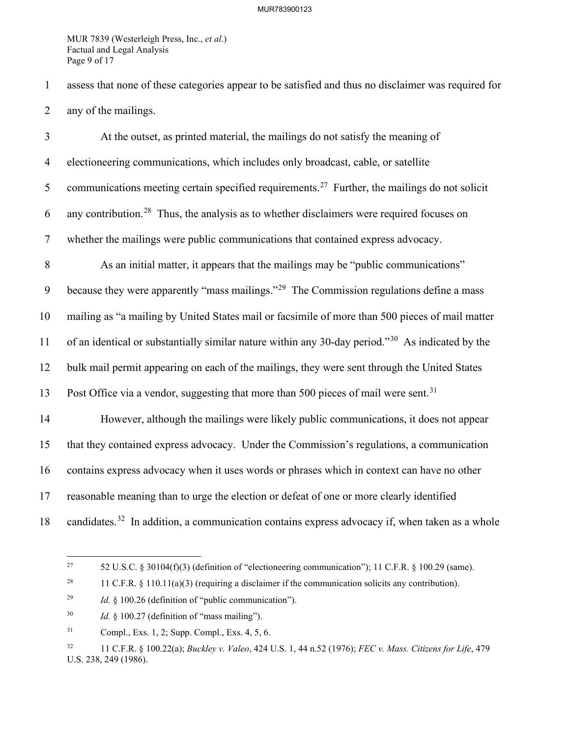MUR 7839 (Westerleigh Press, Inc., *et al*.) Factual and Legal Analysis Page 9 of 17

1 assess that none of these categories appear to be satisfied and thus no disclaimer was required for 2 any of the mailings.

3 At the outset, as printed material, the mailings do not satisfy the meaning of 4 electioneering communications, which includes only broadcast, cable, or satellite 5 communications meeting certain specified requirements.<sup>[27](#page-9-0)</sup> Further, the mailings do not solicit 6 any contribution.<sup>[28](#page-9-1)</sup> Thus, the analysis as to whether disclaimers were required focuses on 7 whether the mailings were public communications that contained express advocacy. 8 As an initial matter, it appears that the mailings may be "public communications" 9 because they were apparently "mass mailings."<sup>[29](#page-9-2)</sup> The Commission regulations define a mass 10 mailing as "a mailing by United States mail or facsimile of more than 500 pieces of mail matter 11 of an identical or substantially similar nature within any [30](#page-9-3)-day period."<sup>30</sup> As indicated by the 12 bulk mail permit appearing on each of the mailings, they were sent through the United States 13 Post Office via a vendor, suggesting that more than 500 pieces of mail were sent.<sup>[31](#page-9-4)</sup> 14 However, although the mailings were likely public communications, it does not appear 15 that they contained express advocacy. Under the Commission's regulations, a communication 16 contains express advocacy when it uses words or phrases which in context can have no other 17 reasonable meaning than to urge the election or defeat of one or more clearly identified 18 candidates.<sup>[32](#page-9-5)</sup> In addition, a communication contains express advocacy if, when taken as a whole

<span id="page-9-0"></span><sup>&</sup>lt;sup>27</sup> 52 U.S.C. § 30104(f)(3) (definition of "electioneering communication"); 11 C.F.R. § 100.29 (same).

<span id="page-9-1"></span><sup>&</sup>lt;sup>28</sup> 11 C.F.R. § 110.11(a)(3) (requiring a disclaimer if the communication solicits any contribution).

<span id="page-9-2"></span><sup>29</sup> *Id.* § 100.26 (definition of "public communication").

<span id="page-9-3"></span><sup>30</sup> *Id.* § 100.27 (definition of "mass mailing").

<span id="page-9-4"></span><sup>31</sup> Compl., Exs. 1, 2; Supp. Compl., Exs. 4, 5, 6.

<span id="page-9-5"></span><sup>32 11</sup> C.F.R. § 100.22(a); *Buckley v. Valeo*, 424 U.S. 1, 44 n.52 (1976); *FEC v. Mass. Citizens for Life*, 479 U.S. 238, 249 (1986).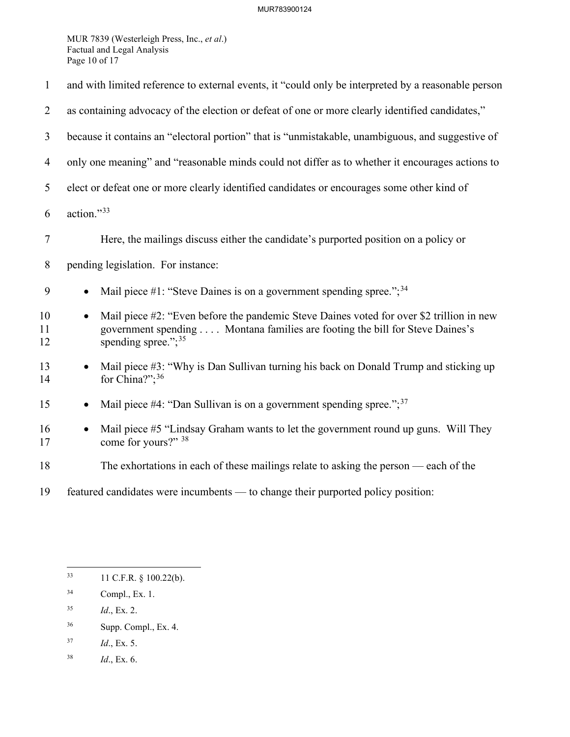MUR 7839 (Westerleigh Press, Inc., *et al*.) Factual and Legal Analysis Page 10 of 17

| $\mathbf{1}$   | and with limited reference to external events, it "could only be interpreted by a reasonable person                                                                                                             |  |  |
|----------------|-----------------------------------------------------------------------------------------------------------------------------------------------------------------------------------------------------------------|--|--|
| $\overline{2}$ | as containing advocacy of the election or defeat of one or more clearly identified candidates,"                                                                                                                 |  |  |
| 3              | because it contains an "electoral portion" that is "unmistakable, unambiguous, and suggestive of                                                                                                                |  |  |
| $\overline{4}$ | only one meaning" and "reasonable minds could not differ as to whether it encourages actions to                                                                                                                 |  |  |
| 5              | elect or defeat one or more clearly identified candidates or encourages some other kind of                                                                                                                      |  |  |
| 6              | action."33                                                                                                                                                                                                      |  |  |
| $\tau$         | Here, the mailings discuss either the candidate's purported position on a policy or                                                                                                                             |  |  |
| $8\,$          | pending legislation. For instance:                                                                                                                                                                              |  |  |
| 9              | Mail piece #1: "Steve Daines is on a government spending spree."; $34$<br>$\bullet$                                                                                                                             |  |  |
| 10<br>11<br>12 | Mail piece #2: "Even before the pandemic Steve Daines voted for over \$2 trillion in new<br>$\bullet$<br>government spending Montana families are footing the bill for Steve Daines's<br>spending spree."; $35$ |  |  |
| 13<br>14       | Mail piece #3: "Why is Dan Sullivan turning his back on Donald Trump and sticking up<br>for China?"; <sup>36</sup>                                                                                              |  |  |
| 15             | Mail piece #4: "Dan Sullivan is on a government spending spree."; $37$                                                                                                                                          |  |  |
| 16<br>17       | Mail piece #5 "Lindsay Graham wants to let the government round up guns. Will They<br>$\bullet$<br>come for yours?" 38                                                                                          |  |  |
| 18             | The exhortations in each of these mailings relate to asking the person — each of the                                                                                                                            |  |  |
| 19             | featured candidates were incumbents — to change their purported policy position:                                                                                                                                |  |  |

- <span id="page-10-2"></span>35 *Id*., Ex. 2.
- <span id="page-10-3"></span>36 Supp. Compl., Ex. 4.
- <span id="page-10-4"></span>37 *Id*., Ex. 5.
- <span id="page-10-5"></span>38 *Id*., Ex. 6.

<span id="page-10-0"></span><sup>33 11</sup> C.F.R. § 100.22(b).

<span id="page-10-1"></span><sup>34</sup> Compl., Ex. 1.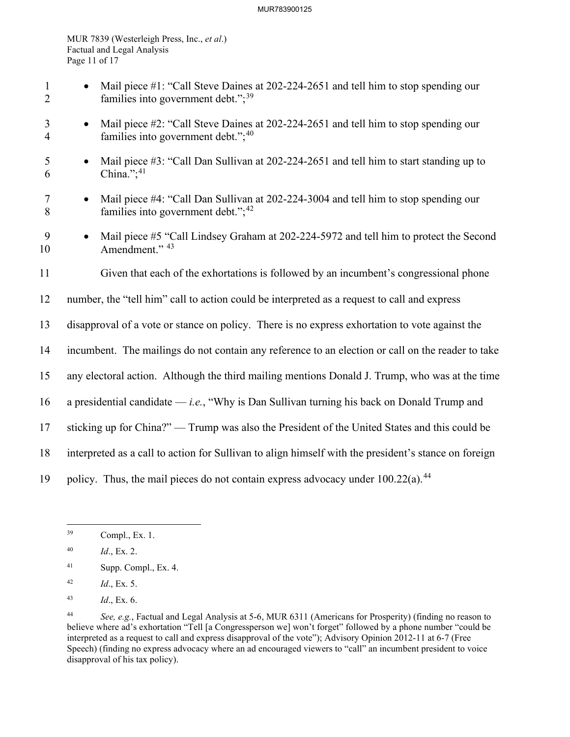#### MUR783900125

MUR 7839 (Westerleigh Press, Inc., *et al*.) Factual and Legal Analysis Page 11 of 17

- 1 Mail piece #1: "Call Steve Daines at 202-224-2651 and tell him to stop spending our 2 families into government debt.";<sup>[39](#page-11-0)</sup>
- 3 Mail piece #2: "Call Steve Daines at 202-224-2651 and tell him to stop spending our 4 families into government debt."; $40$
- 5 Mail piece #3: "Call Dan Sullivan at 202-224-2651 and tell him to start standing up to 6 China."; $41$
- 7 Mail piece #4: "Call Dan Sullivan at 202-224-3004 and tell him to stop spending our 8 families into government debt.";<sup>[42](#page-11-3)</sup>
- 9 Mail piece #5 "Call Lindsey Graham at 202-224-5972 and tell him to protect the Second 10 Amendment." <sup>[43](#page-11-4)</sup>
- 11 Given that each of the exhortations is followed by an incumbent's congressional phone
- 12 number, the "tell him" call to action could be interpreted as a request to call and express
- 13 disapproval of a vote or stance on policy. There is no express exhortation to vote against the
- 14 incumbent. The mailings do not contain any reference to an election or call on the reader to take
- 15 any electoral action. Although the third mailing mentions Donald J. Trump, who was at the time
- 16 a presidential candidate *i.e.*, "Why is Dan Sullivan turning his back on Donald Trump and
- 17 sticking up for China?" Trump was also the President of the United States and this could be
- 18 interpreted as a call to action for Sullivan to align himself with the president's stance on foreign
- 19 policy. Thus, the mail pieces do not contain express advocacy under  $100.22(a)$ .<sup>[44](#page-11-5)</sup>

- <span id="page-11-2"></span>41 Supp. Compl., Ex. 4.
- <span id="page-11-3"></span>42 *Id*., Ex. 5.
- <span id="page-11-4"></span>43 *Id*., Ex. 6.

<span id="page-11-0"></span><sup>39</sup> Compl., Ex. 1.

<span id="page-11-1"></span><sup>40</sup> *Id*., Ex. 2.

<span id="page-11-5"></span><sup>44</sup> *See, e.g.*, Factual and Legal Analysis at 5-6, MUR 6311 (Americans for Prosperity) (finding no reason to believe where ad's exhortation "Tell [a Congressperson we] won't forget" followed by a phone number "could be interpreted as a request to call and express disapproval of the vote"); Advisory Opinion 2012-11 at 6-7 (Free Speech) (finding no express advocacy where an ad encouraged viewers to "call" an incumbent president to voice disapproval of his tax policy).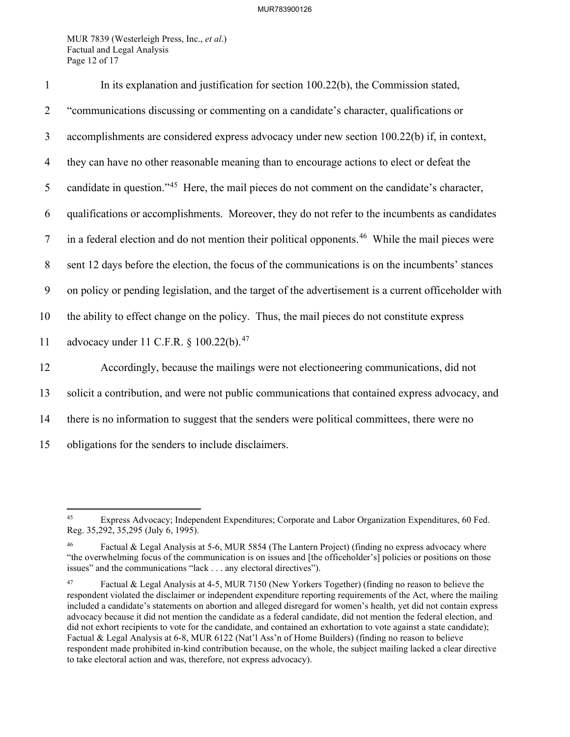MUR 7839 (Westerleigh Press, Inc., *et al*.) Factual and Legal Analysis Page 12 of 17

| $\mathbf{1}$   | In its explanation and justification for section 100.22(b), the Commission stated,                           |
|----------------|--------------------------------------------------------------------------------------------------------------|
| $\overline{2}$ | "communications discussing or commenting on a candidate's character, qualifications or                       |
| 3              | accomplishments are considered express advocacy under new section 100.22(b) if, in context,                  |
| $\overline{4}$ | they can have no other reasonable meaning than to encourage actions to elect or defeat the                   |
| 5              | candidate in question." <sup>45</sup> Here, the mail pieces do not comment on the candidate's character,     |
| 6              | qualifications or accomplishments. Moreover, they do not refer to the incumbents as candidates               |
| $\tau$         | in a federal election and do not mention their political opponents. <sup>46</sup> While the mail pieces were |
| 8              | sent 12 days before the election, the focus of the communications is on the incumbents' stances              |
| 9              | on policy or pending legislation, and the target of the advertisement is a current officeholder with         |
| 10             | the ability to effect change on the policy. Thus, the mail pieces do not constitute express                  |
| 11             | advocacy under 11 C.F.R. § 100.22(b). <sup>47</sup>                                                          |
| 12             | Accordingly, because the mailings were not electioneering communications, did not                            |
| 13             | solicit a contribution, and were not public communications that contained express advocacy, and              |
| 14             | there is no information to suggest that the senders were political committees, there were no                 |
| 15             | obligations for the senders to include disclaimers.                                                          |

<span id="page-12-0"></span><sup>45</sup> Express Advocacy; Independent Expenditures; Corporate and Labor Organization Expenditures, 60 Fed. Reg. 35,292, 35,295 (July 6, 1995).

<span id="page-12-1"></span>Factual & Legal Analysis at 5-6, MUR 5854 (The Lantern Project) (finding no express advocacy where "the overwhelming focus of the communication is on issues and [the officeholder's] policies or positions on those issues" and the communications "lack . . . any electoral directives").

<span id="page-12-2"></span><sup>47</sup> Factual & Legal Analysis at 4-5, MUR 7150 (New Yorkers Together) (finding no reason to believe the respondent violated the disclaimer or independent expenditure reporting requirements of the Act, where the mailing included a candidate's statements on abortion and alleged disregard for women's health, yet did not contain express advocacy because it did not mention the candidate as a federal candidate, did not mention the federal election, and did not exhort recipients to vote for the candidate, and contained an exhortation to vote against a state candidate); Factual & Legal Analysis at 6-8, MUR 6122 (Nat'l Ass'n of Home Builders) (finding no reason to believe respondent made prohibited in-kind contribution because, on the whole, the subject mailing lacked a clear directive to take electoral action and was, therefore, not express advocacy).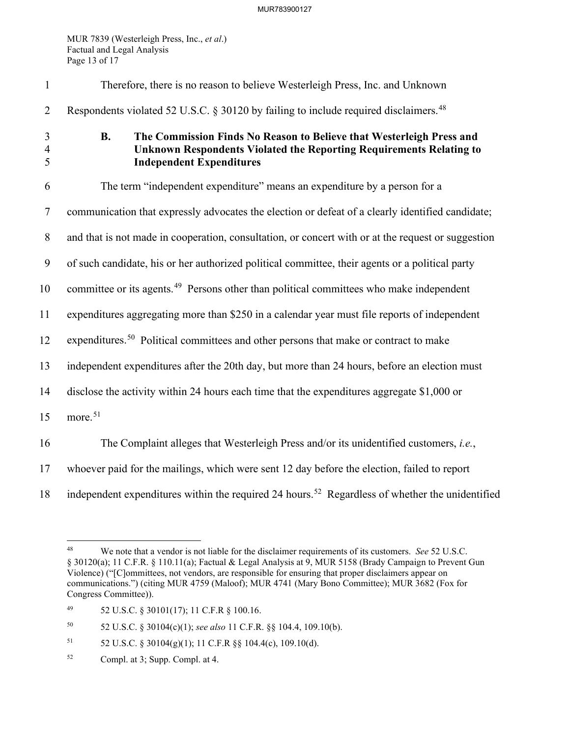MUR 7839 (Westerleigh Press, Inc., *et al*.) Factual and Legal Analysis Page 13 of 17

| $\mathbf{1}$             | Therefore, there is no reason to believe Westerleigh Press, Inc. and Unknown                                                                                                                |
|--------------------------|---------------------------------------------------------------------------------------------------------------------------------------------------------------------------------------------|
| $\overline{2}$           | Respondents violated 52 U.S.C. § 30120 by failing to include required disclaimers. <sup>48</sup>                                                                                            |
| 3<br>$\overline{4}$<br>5 | <b>B.</b><br>The Commission Finds No Reason to Believe that Westerleigh Press and<br>Unknown Respondents Violated the Reporting Requirements Relating to<br><b>Independent Expenditures</b> |
| 6                        | The term "independent expenditure" means an expenditure by a person for a                                                                                                                   |
| $\tau$                   | communication that expressly advocates the election or defeat of a clearly identified candidate;                                                                                            |
| $8\phantom{.}$           | and that is not made in cooperation, consultation, or concert with or at the request or suggestion                                                                                          |
| 9                        | of such candidate, his or her authorized political committee, their agents or a political party                                                                                             |
| 10                       | committee or its agents. <sup>49</sup> Persons other than political committees who make independent                                                                                         |
| 11                       | expenditures aggregating more than \$250 in a calendar year must file reports of independent                                                                                                |
| 12                       | expenditures. <sup>50</sup> Political committees and other persons that make or contract to make                                                                                            |
| 13                       | independent expenditures after the 20th day, but more than 24 hours, before an election must                                                                                                |
| 14                       | disclose the activity within 24 hours each time that the expenditures aggregate \$1,000 or                                                                                                  |
| 15                       | more. <sup>51</sup>                                                                                                                                                                         |
| 16                       | The Complaint alleges that Westerleigh Press and/or its unidentified customers, i.e.,                                                                                                       |
| 17                       | whoever paid for the mailings, which were sent 12 day before the election, failed to report                                                                                                 |
| 18                       | independent expenditures within the required 24 hours. <sup>52</sup> Regardless of whether the unidentified                                                                                 |

<span id="page-13-2"></span>50 52 U.S.C. § 30104(c)(1); *see also* 11 C.F.R. §§ 104.4, 109.10(b).

- <span id="page-13-3"></span>51 52 U.S.C. § 30104(g)(1); 11 C.F.R §§ 104.4(c), 109.10(d).
- <span id="page-13-4"></span>52 Compl. at 3; Supp. Compl. at 4.

<span id="page-13-0"></span><sup>48</sup> We note that a vendor is not liable for the disclaimer requirements of its customers. *See* 52 U.S.C. § 30120(a); 11 C.F.R. § 110.11(a); Factual & Legal Analysis at 9, MUR 5158 (Brady Campaign to Prevent Gun Violence) ("[C]ommittees, not vendors, are responsible for ensuring that proper disclaimers appear on communications.") (citing MUR 4759 (Maloof); MUR 4741 (Mary Bono Committee); MUR 3682 (Fox for Congress Committee)).

<span id="page-13-1"></span><sup>49 52</sup> U.S.C. § 30101(17); 11 C.F.R § 100.16.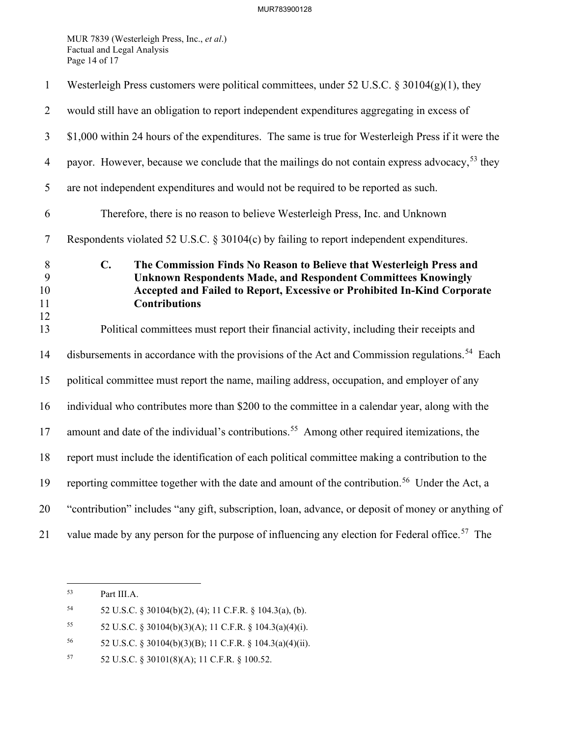MUR 7839 (Westerleigh Press, Inc., *et al*.) Factual and Legal Analysis Page 14 of 17

| $\mathbf{1}$             | Westerleigh Press customers were political committees, under 52 U.S.C. § 30104(g)(1), they                                                                                                                                                                         |
|--------------------------|--------------------------------------------------------------------------------------------------------------------------------------------------------------------------------------------------------------------------------------------------------------------|
| $\overline{2}$           | would still have an obligation to report independent expenditures aggregating in excess of                                                                                                                                                                         |
| $\overline{3}$           | \$1,000 within 24 hours of the expenditures. The same is true for Westerleigh Press if it were the                                                                                                                                                                 |
| $\overline{4}$           | payor. However, because we conclude that the mailings do not contain express advocacy, <sup>53</sup> they                                                                                                                                                          |
| 5                        | are not independent expenditures and would not be required to be reported as such.                                                                                                                                                                                 |
| 6                        | Therefore, there is no reason to believe Westerleigh Press, Inc. and Unknown                                                                                                                                                                                       |
| $\tau$                   | Respondents violated 52 U.S.C. § 30104(c) by failing to report independent expenditures.                                                                                                                                                                           |
| 8<br>9<br>10<br>11<br>12 | $\mathbf{C}$ .<br>The Commission Finds No Reason to Believe that Westerleigh Press and<br><b>Unknown Respondents Made, and Respondent Committees Knowingly</b><br>Accepted and Failed to Report, Excessive or Prohibited In-Kind Corporate<br><b>Contributions</b> |
| 13                       | Political committees must report their financial activity, including their receipts and                                                                                                                                                                            |
| 14                       | disbursements in accordance with the provisions of the Act and Commission regulations. <sup>54</sup> Each                                                                                                                                                          |
| 15                       | political committee must report the name, mailing address, occupation, and employer of any                                                                                                                                                                         |
| 16                       | individual who contributes more than \$200 to the committee in a calendar year, along with the                                                                                                                                                                     |
| 17                       | amount and date of the individual's contributions. <sup>55</sup> Among other required itemizations, the                                                                                                                                                            |
| 18                       | report must include the identification of each political committee making a contribution to the                                                                                                                                                                    |
| 19                       | reporting committee together with the date and amount of the contribution. <sup>56</sup> Under the Act, a                                                                                                                                                          |
| 20                       | "contribution" includes "any gift, subscription, loan, advance, or deposit of money or anything of                                                                                                                                                                 |
| 21                       | value made by any person for the purpose of influencing any election for Federal office. <sup>57</sup> The                                                                                                                                                         |

<span id="page-14-0"></span><sup>53</sup> Part III[.A.](#page-7-5) 

<span id="page-14-1"></span><sup>54 52</sup> U.S.C. § 30104(b)(2), (4); 11 C.F.R. § 104.3(a), (b).

<span id="page-14-2"></span><sup>55</sup> 52 U.S.C. § 30104(b)(3)(A); 11 C.F.R. § 104.3(a)(4)(i).

<span id="page-14-3"></span><sup>56 52</sup> U.S.C. § 30104(b)(3)(B); 11 C.F.R. § 104.3(a)(4)(ii).

<span id="page-14-4"></span><sup>57 52</sup> U.S.C. § 30101(8)(A); 11 C.F.R. § 100.52.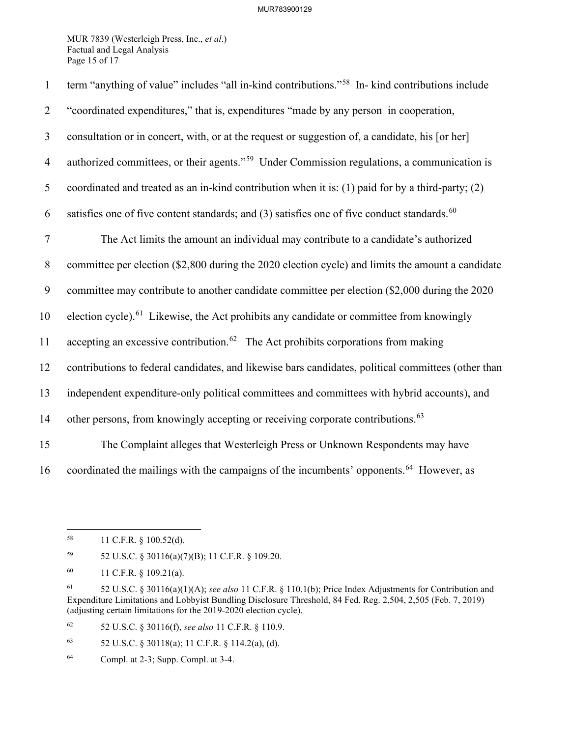MUR 7839 (Westerleigh Press, Inc., *et al*.) Factual and Legal Analysis Page 15 of 17

| $\mathbf{1}$   | term "anything of value" includes "all in-kind contributions." <sup>58</sup> In- kind contributions include |
|----------------|-------------------------------------------------------------------------------------------------------------|
| $\overline{2}$ | "coordinated expenditures," that is, expenditures "made by any person in cooperation,                       |
| $\mathfrak{Z}$ | consultation or in concert, with, or at the request or suggestion of, a candidate, his [or her]             |
| $\overline{4}$ | authorized committees, or their agents." <sup>59</sup> Under Commission regulations, a communication is     |
| 5              | coordinated and treated as an in-kind contribution when it is: (1) paid for by a third-party; (2)           |
| 6              | satisfies one of five content standards; and (3) satisfies one of five conduct standards. <sup>60</sup>     |
| $\tau$         | The Act limits the amount an individual may contribute to a candidate's authorized                          |
| $8\phantom{.}$ | committee per election (\$2,800 during the 2020 election cycle) and limits the amount a candidate           |
| 9              | committee may contribute to another candidate committee per election (\$2,000 during the 2020               |
| 10             | election cycle). <sup>61</sup> Likewise, the Act prohibits any candidate or committee from knowingly        |
| 11             | accepting an excessive contribution. <sup>62</sup> The Act prohibits corporations from making               |
| 12             | contributions to federal candidates, and likewise bars candidates, political committees (other than         |
| 13             | independent expenditure-only political committees and committees with hybrid accounts), and                 |
| 14             | other persons, from knowingly accepting or receiving corporate contributions. <sup>63</sup>                 |
| 15             | The Complaint alleges that Westerleigh Press or Unknown Respondents may have                                |
| 16             | coordinated the mailings with the campaigns of the incumbents' opponents. <sup>64</sup> However, as         |

<span id="page-15-1"></span>59 52 U.S.C. § 30116(a)(7)(B); 11 C.F.R. § 109.20.

<span id="page-15-4"></span>62 52 U.S.C. § 30116(f), *see also* 11 C.F.R. § 110.9.

<span id="page-15-5"></span>63 52 U.S.C. § 30118(a); 11 C.F.R. § 114.2(a), (d).

<span id="page-15-0"></span><sup>58 11</sup> C.F.R. § 100.52(d).

<span id="page-15-2"></span><sup>60 11</sup> C.F.R. § 109.21(a).

<span id="page-15-3"></span><sup>61 52</sup> U.S.C. § 30116(a)(1)(A); *see also* 11 C.F.R. § 110.1(b); Price Index Adjustments for Contribution and Expenditure Limitations and Lobbyist Bundling Disclosure Threshold, 84 Fed. Reg. 2,504, 2,505 (Feb. 7, 2019) (adjusting certain limitations for the 2019-2020 election cycle).

<span id="page-15-6"></span><sup>64</sup> Compl. at 2-3; Supp. Compl. at 3-4.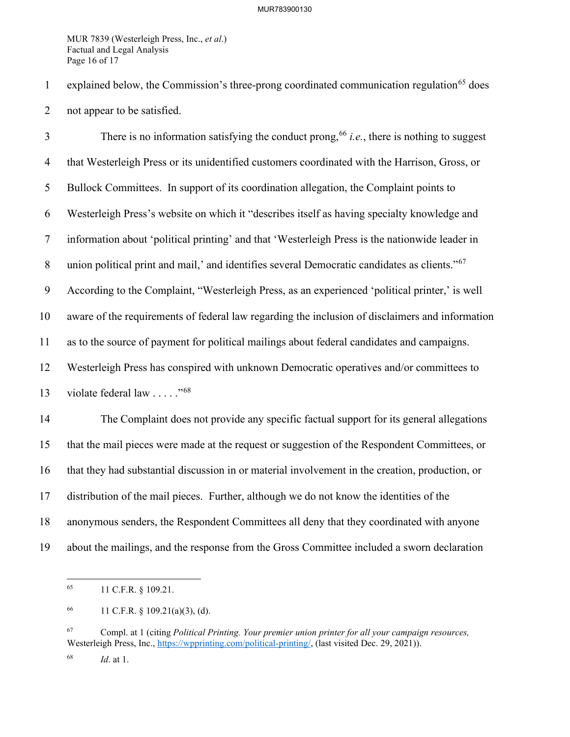MUR 7839 (Westerleigh Press, Inc., *et al*.) Factual and Legal Analysis Page 16 of 17

1 explained below, the Commission's three-prong coordinated communication regulation<sup>[65](#page-16-0)</sup> does 2 not appear to be satisfied.

There is no information satisfying the conduct prong,  $66$  *i.e.*, there is nothing to suggest 4 that Westerleigh Press or its unidentified customers coordinated with the Harrison, Gross, or 5 Bullock Committees. In support of its coordination allegation, the Complaint points to 6 Westerleigh Press's website on which it "describes itself as having specialty knowledge and 7 information about 'political printing' and that 'Westerleigh Press is the nationwide leader in 8 union political print and mail,' and identifies several Democratic candidates as clients."<sup>[67](#page-16-2)</sup> 9 According to the Complaint, "Westerleigh Press, as an experienced 'political printer,' is well 10 aware of the requirements of federal law regarding the inclusion of disclaimers and information 11 as to the source of payment for political mailings about federal candidates and campaigns. 12 Westerleigh Press has conspired with unknown Democratic operatives and/or committees to 13 violate federal law  $\ldots$  .  $\frac{1568}{156}$  $\frac{1568}{156}$  $\frac{1568}{156}$ 14 The Complaint does not provide any specific factual support for its general allegations 15 that the mail pieces were made at the request or suggestion of the Respondent Committees, or 16 that they had substantial discussion in or material involvement in the creation, production, or 17 distribution of the mail pieces. Further, although we do not know the identities of the 18 anonymous senders, the Respondent Committees all deny that they coordinated with anyone

<span id="page-16-0"></span>19 about the mailings, and the response from the Gross Committee included a sworn declaration

<sup>65 11</sup> C.F.R. § 109.21.

<span id="page-16-1"></span><sup>66 11</sup> C.F.R.  $\S$  109.21(a)(3), (d).

<span id="page-16-2"></span><sup>67</sup> Compl. at 1 (citing *Political Printing. Your premier union printer for all your campaign resources,* Westerleigh Press, Inc., [https://wpprinting.com/political-printing/,](https://wpprinting.com/political-printing/) (last visited Dec. 29, 2021)).

<span id="page-16-3"></span><sup>68</sup> *Id*. at 1.